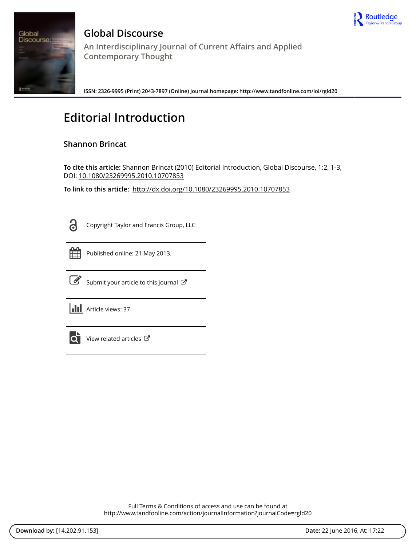



**Global Discourse An Interdisciplinary Journal of Current Affairs and Applied Contemporary Thought**

**ISSN: 2326-9995 (Print) 2043-7897 (Online) Journal homepage:<http://www.tandfonline.com/loi/rgld20>**

## **Editorial Introduction**

## **Shannon Brincat**

**To cite this article:** Shannon Brincat (2010) Editorial Introduction, Global Discourse, 1:2, 1-3, DOI: [10.1080/23269995.2010.10707853](http://www.tandfonline.com/action/showCitFormats?doi=10.1080/23269995.2010.10707853)

**To link to this article:** <http://dx.doi.org/10.1080/23269995.2010.10707853>

႕

Copyright Taylor and Francis Group, LLC



Published online: 21 May 2013.



 $\overrightarrow{S}$  [Submit your article to this journal](http://www.tandfonline.com/action/authorSubmission?journalCode=rgld20&page=instructions)  $\overrightarrow{S}$ 

**III** Article views: 37



[View related articles](http://www.tandfonline.com/doi/mlt/10.1080/23269995.2010.10707853) C

Full Terms & Conditions of access and use can be found at <http://www.tandfonline.com/action/journalInformation?journalCode=rgld20>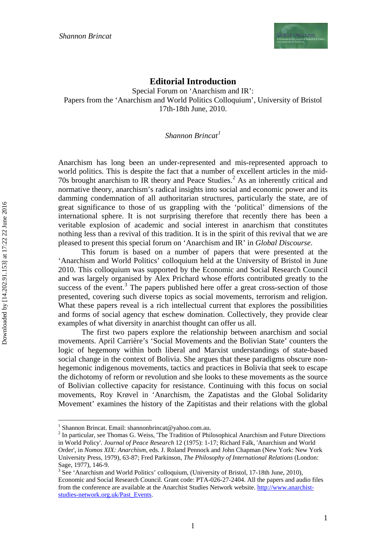

## **Editorial Introduction**

Special Forum on 'Anarchism and IR': Papers from the 'Anarchism and World Politics Colloquium', University of Bristol 17th-18th June, 2010.

## *Shannon Brincat[1](#page-1-0)*

Anarchism has long been an under-represented and mis-represented approach to world politics. This is despite the fact that a number of excellent articles in the mid-70s brought anarchism to IR theory and Peace Studies.<sup>[2](#page-1-1)</sup> As an inherently critical and normative theory, anarchism's radical insights into social and economic power and its damming condemnation of all authoritarian structures, particularly the state, are of great significance to those of us grappling with the 'political' dimensions of the international sphere. It is not surprising therefore that recently there has been a veritable explosion of academic and social interest in anarchism that constitutes nothing less than a revival of this tradition. It is in the spirit of this revival that we are pleased to present this special forum on 'Anarchism and IR' in *Global Discourse*.

This forum is based on a number of papers that were presented at the 'Anarchism and World Politics' colloquium held at the University of Bristol in June 2010. This colloquium was supported by the Economic and Social Research Council and was largely organised by Alex Prichard whose efforts contributed greatly to the success of the event. $3$  The papers published here offer a great cross-section of those presented, covering such diverse topics as social movements, terrorism and religion. What these papers reveal is a rich intellectual current that explores the possibilities and forms of social agency that eschew domination. Collectively, they provide clear examples of what diversity in anarchist thought can offer us all. examing constants of an automomodic scattering of the sample international sphere. It is not surprising vertiable explosion of academic and society at the second treatment this special forum on 'Amachin and World Politics

The first two papers explore the relationship between anarchism and social movements. April Carrière's 'Social Movements and the Bolivian State' counters the logic of hegemony within both liberal and Marxist understandings of state-based social change in the context of Bolivia. She argues that these paradigms obscure nonhegemonic indigenous movements, tactics and practices in Bolivia that seek to escape the dichotomy of reform or revolution and she looks to these movements as the source of Bolivian collective capacity for resistance. Continuing with this focus on social movements, Roy Krøvel in 'Anarchism, the Zapatistas and the Global Solidarity Movement' examines the history of the Zapitistas and their relations with the global

 $\overline{a}$ 

1

<span id="page-1-1"></span><span id="page-1-0"></span><sup>&</sup>lt;sup>1</sup> Shannon Brincat. Email: shannonbrincat@yahoo.com.au. <sup>2</sup> In particular, see Thomas G. Weiss, 'The Tradition of Philosophical Anarchism and Future Directions in World Policy'. *Journal of Peace Research* 12 (1975): 1-17; Richard Falk, 'Anarchism and World Order', in *Nomos XIX: Anarchism*, eds. J. Roland Pennock and John Chapman (New York: New York University Press, 1979), 63-87; Fred Parkinson, *The Philosophy of International Relations* (London:

<span id="page-1-2"></span>Sage, 1977), 146-9.<br><sup>3</sup> See 'Anarchism and World Politics' colloquium, (University of Bristol, 17-18th June, 2010), Economic and Social Research Council. Grant code: PTA-026-27-2404. All the papers and audio files from the conference are available at the Anarchist Studies Network website. http://www.anarchiststudies-network.org.uk/Past\_Events.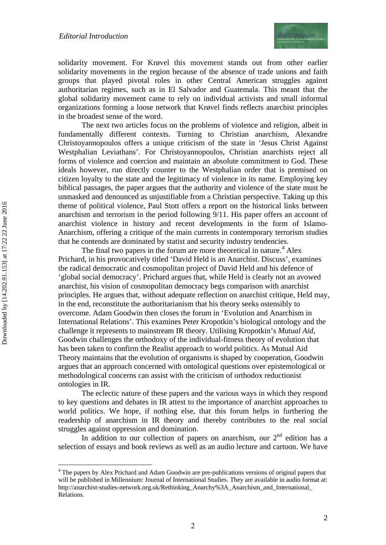

solidarity movement. For Krøvel this movement stands out from other earlier solidarity movements in the region because of the absence of trade unions and faith groups that played pivotal roles in other Central American struggles against authoritarian regimes, such as in El Salvador and Guatemala. This meant that the global solidarity movement came to rely on individual activists and small informal organizations forming a loose network that Krøvel finds reflects anarchist principles in the broadest sense of the word.

The next two articles focus on the problems of violence and religion, albeit in fundamentally different contexts. Turning to Christian anarchism, Alexandre Christoyannopoulos offers a unique criticism of the state in 'Jesus Christ Against Westphalian Leviathans'. For Christoyannopoulos, Christian anarchists reject all forms of violence and coercion and maintain an absolute commitment to God. These ideals however, run directly counter to the Westphalian order that is premised on citizen loyalty to the state and the legitimacy of violence in its name. Employing key biblical passages, the paper argues that the authority and violence of the state must be unmasked and denounced as unjustifiable from a Christian perspective. Taking up this theme of political violence, Paul Stott offers a report on the historical links between anarchism and terrorism in the period following 9/11. His paper offers an account of anarchist violence in history and recent developments in the form of Islamo-Anarchism, offering a critique of the main currents in contemporary terrorism studies that he contends are dominated by statist and security industry tendencies.

The final two papers in the forum are more theoretical in nature.<sup>[4](#page-2-0)</sup> Alex Prichard, in his provocatively titled 'David Held is an Anarchist. Discuss', examines the radical democratic and cosmopolitan project of David Held and his defence of 'global social democracy'. Prichard argues that, while Held is clearly not an avowed anarchist, his vision of cosmopolitan democracy begs comparison with anarchist principles. He argues that, without adequate reflection on anarchist critique, Held may, in the end, reconstitute the authoritarianism that his theory seeks ostensibly to overcome. Adam Goodwin then closes the forum in 'Evolution and Anarchism in International Relations'. This examines Peter Kropotkin's biological ontology and the challenge it represents to mainstream IR theory. Utilising Kropotkin's *Mutual Aid*, Goodwin challenges the orthodoxy of the individual-fitness theory of evolution that has been taken to confirm the Realist approach to world politics. As Mutual Aid Theory maintains that the evolution of organisms is shaped by cooperation, Goodwin argues that an approach concerned with ontological questions over epistemological or methodological concerns can assist with the criticism of orthodox reductionist ontologies in IR. denne of political violence, Paul Stott offer an<br>anchinism and terrorism in the priord follo annothinism, offering a critique of the main<br>anchinism, offering a critique of the main<br>that the contends are dominated by stati

The eclectic nature of these papers and the various ways in which they respond to key questions and debates in IR attest to the importance of anarchist approaches to world politics. We hope, if nothing else, that this forum helps in furthering the readership of anarchism in IR theory and thereby contributes to the real social struggles against oppression and domination.

In addition to our collection of papers on anarchism, our  $2<sup>nd</sup>$  edition has a selection of essays and book reviews as well as an audio lecture and cartoon. We have

 $\overline{a}$ 

2

<span id="page-2-0"></span><sup>4</sup> The papers by Alex Prichard and Adam Goodwin are pre-publications versions of original papers that will be published in Millennium: Journal of International Studies. They are available in audio format at: http://anarchist-studies-network.org.uk/Rethinking\_Anarchy%3A\_Anarchism\_and\_International Relations.